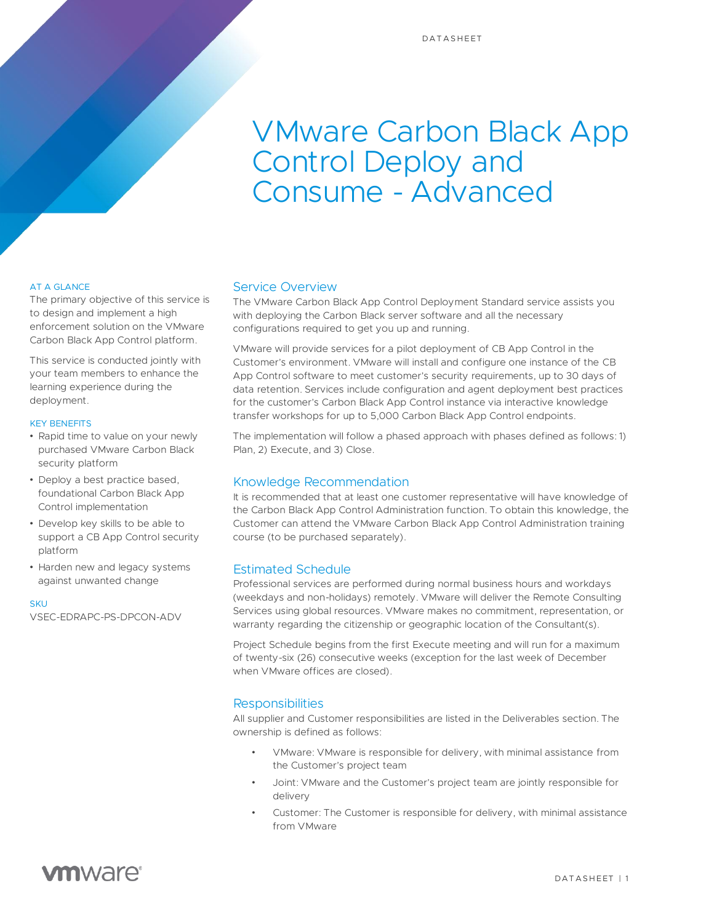# VMware Carbon Black App Control Deploy and Consume - Advanced

### AT A GLANCE

The primary objective of this service is to design and implement a high enforcement solution on the VMware Carbon Black App Control platform.

This service is conducted jointly with your team members to enhance the learning experience during the deployment.

### KEY BENEFITS

- Rapid time to value on your newly purchased VMware Carbon Black security platform
- Deploy a best practice based, foundational Carbon Black App Control implementation
- Develop key skills to be able to support a CB App Control security platform
- Harden new and legacy systems against unwanted change

**SKU** VSEC-EDRAPC-PS-DPCON-ADV

### Service Overview

The VMware Carbon Black App Control Deployment Standard service assists you with deploying the Carbon Black server software and all the necessary configurations required to get you up and running.

VMware will provide services for a pilot deployment of CB App Control in the Customer's environment. VMware will install and configure one instance of the CB App Control software to meet customer's security requirements, up to 30 days of data retention. Services include configuration and agent deployment best practices for the customer's Carbon Black App Control instance via interactive knowledge transfer workshops for up to 5,000 Carbon Black App Control endpoints.

The implementation will follow a phased approach with phases defined as follows: 1) Plan, 2) Execute, and 3) Close.

### Knowledge Recommendation

It is recommended that at least one customer representative will have knowledge of the Carbon Black App Control Administration function. To obtain this knowledge, the Customer can attend the VMware Carbon Black App Control Administration training course (to be purchased separately).

### Estimated Schedule

Professional services are performed during normal business hours and workdays (weekdays and non-holidays) remotely. VMware will deliver the Remote Consulting Services using global resources. VMware makes no commitment, representation, or warranty regarding the citizenship or geographic location of the Consultant(s).

Project Schedule begins from the first Execute meeting and will run for a maximum of twenty-six (26) consecutive weeks (exception for the last week of December when VMware offices are closed).

## **Responsibilities**

All supplier and Customer responsibilities are listed in the Deliverables section. The ownership is defined as follows:

- VMware: VMware is responsible for delivery, with minimal assistance from the Customer's project team
- Joint: VMware and the Customer's project team are jointly responsible for delivery
- Customer: The Customer is responsible for delivery, with minimal assistance from VMware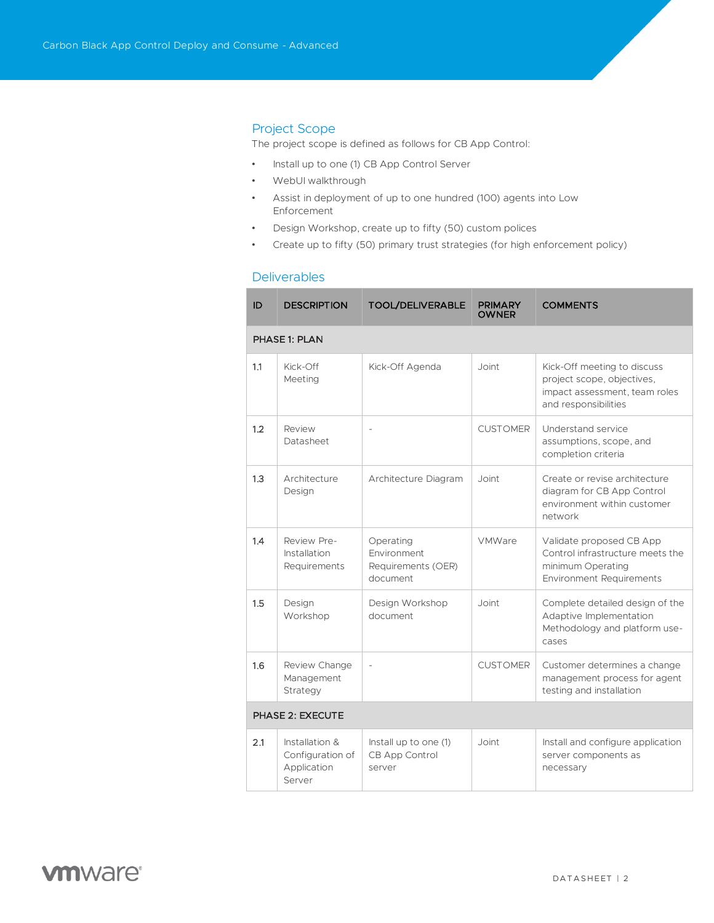### Project Scope

The project scope is defined as follows for CB App Control:

- Install up to one (1) CB App Control Server
- WebUI walkthrough
- Assist in deployment of up to one hundred (100) agents into Low Enforcement
- Design Workshop, create up to fifty (50) custom polices
- Create up to fifty (50) primary trust strategies (for high enforcement policy)

### Deliverables

| ID                      | <b>DESCRIPTION</b>                                          | <b>TOOL/DELIVERABLE</b>                                    | <b>PRIMARY</b><br><b>OWNER</b> | <b>COMMENTS</b>                                                                                                      |  |  |  |
|-------------------------|-------------------------------------------------------------|------------------------------------------------------------|--------------------------------|----------------------------------------------------------------------------------------------------------------------|--|--|--|
| <b>PHASE 1: PLAN</b>    |                                                             |                                                            |                                |                                                                                                                      |  |  |  |
| 1.1                     | Kick-Off<br>Meeting                                         | Kick-Off Agenda                                            | Joint                          | Kick-Off meeting to discuss<br>project scope, objectives,<br>impact assessment, team roles<br>and responsibilities   |  |  |  |
| 1.2                     | Review<br>Datasheet                                         | $\overline{a}$                                             | <b>CUSTOMER</b>                | Understand service<br>assumptions, scope, and<br>completion criteria                                                 |  |  |  |
| 1.3                     | Architecture<br>Design                                      | Architecture Diagram                                       | Joint                          | Create or revise architecture<br>diagram for CB App Control<br>environment within customer<br>network                |  |  |  |
| 1.4                     | Review Pre-<br>Installation<br>Requirements                 | Operating<br>Environment<br>Requirements (OER)<br>document | VMWare                         | Validate proposed CB App<br>Control infrastructure meets the<br>minimum Operating<br><b>Environment Requirements</b> |  |  |  |
| 1.5                     | Design<br>Workshop                                          | Design Workshop<br>document                                | Joint                          | Complete detailed design of the<br>Adaptive Implementation<br>Methodology and platform use-<br>cases                 |  |  |  |
| 1.6                     | Review Change<br>Management<br>Strategy                     | $\overline{a}$                                             | <b>CUSTOMER</b>                | Customer determines a change<br>management process for agent<br>testing and installation                             |  |  |  |
| <b>PHASE 2: EXECUTE</b> |                                                             |                                                            |                                |                                                                                                                      |  |  |  |
| 2.1                     | Installation &<br>Configuration of<br>Application<br>Server | Install up to one (1)<br><b>CB App Control</b><br>server   | Joint                          | Install and configure application<br>server components as<br>necessary                                               |  |  |  |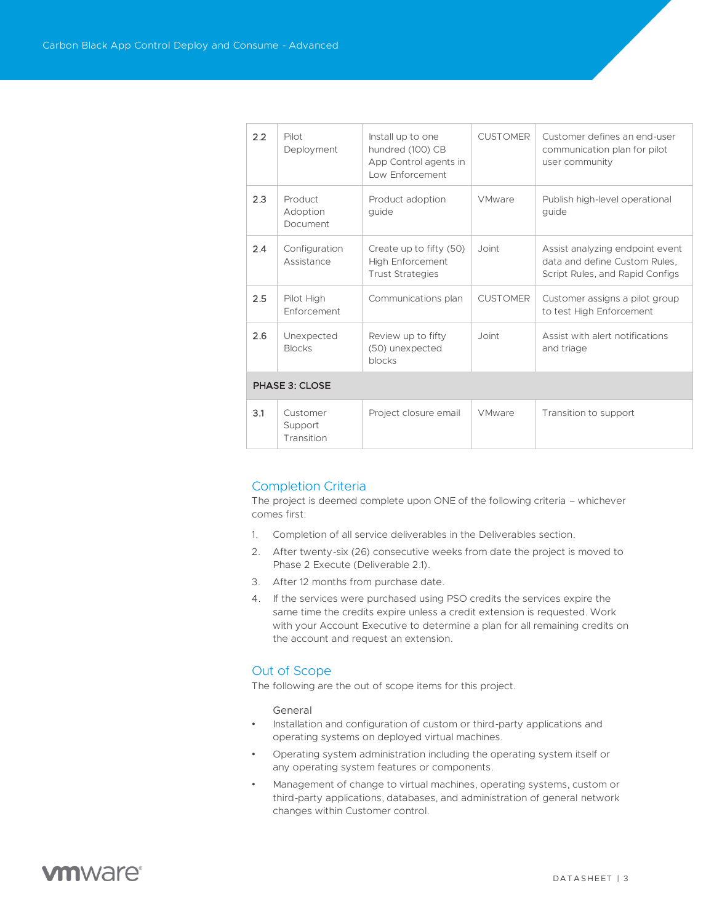| 2.2            | Pilot<br>Deployment                    | Install up to one<br>hundred (100) CB<br>App Control agents in<br>Low Enforcement | <b>CUSTOMER</b> | Customer defines an end-user<br>communication plan for pilot<br>user community                      |  |  |  |
|----------------|----------------------------------------|-----------------------------------------------------------------------------------|-----------------|-----------------------------------------------------------------------------------------------------|--|--|--|
| 2.3            | Product<br>Adoption<br><b>Document</b> | Product adoption<br>guide                                                         | <b>VMware</b>   | Publish high-level operational<br>guide                                                             |  |  |  |
| 2.4            | Configuration<br>Assistance            | Create up to fifty (50)<br><b>High Enforcement</b><br><b>Trust Strategies</b>     | Joint           | Assist analyzing endpoint event<br>data and define Custom Rules,<br>Script Rules, and Rapid Configs |  |  |  |
| 2.5            | Pilot High<br>Enforcement              | Communications plan                                                               | <b>CUSTOMER</b> | Customer assigns a pilot group<br>to test High Enforcement                                          |  |  |  |
| 2.6            | Unexpected<br><b>Blocks</b>            | Review up to fifty<br>(50) unexpected<br>blocks                                   | Joint           | Assist with a lert notifications<br>and triage                                                      |  |  |  |
| PHASE 3: CLOSE |                                        |                                                                                   |                 |                                                                                                     |  |  |  |
| 3.1            | Customer<br>Support                    | Project closure email                                                             | VMware          | Transition to support                                                                               |  |  |  |

### Completion Criteria

Transition

The project is deemed complete upon ONE of the following criteria – whichever comes first:

- 1. Completion of all service deliverables in the Deliverables section.
- 2. After twenty-six (26) consecutive weeks from date the project is moved to Phase 2 Execute (Deliverable 2.1).
- 3. After 12 months from purchase date.
- 4. If the services were purchased using PSO credits the services expire the same time the credits expire unless a credit extension is requested. Work with your Account Executive to determine a plan for all remaining credits on the account and request an extension*.*

### Out of Scope

The following are the out of scope items for this project.

General

- Installation and configuration of custom or third-party applications and operating systems on deployed virtual machines.
- Operating system administration including the operating system itself or any operating system features or components.
- Management of change to virtual machines, operating systems, custom or third-party applications, databases, and administration of general network changes within Customer control.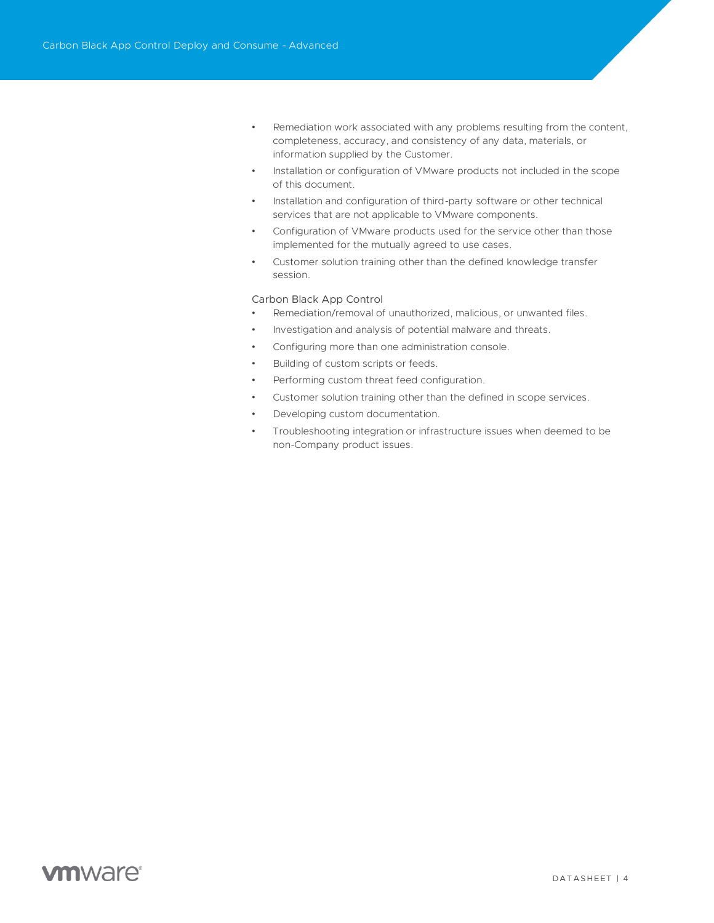- Remediation work associated with any problems resulting from the content, completeness, accuracy, and consistency of any data, materials, or information supplied by the Customer.
- Installation or configuration of VMware products not included in the scope of this document.
- Installation and configuration of third-party software or other technical services that are not applicable to VMware components.
- Configuration of VMware products used for the service other than those implemented for the mutually agreed to use cases.
- Customer solution training other than the defined knowledge transfer session.

#### Carbon Black App Control

- Remediation/removal of unauthorized, malicious, or unwanted files.
- Investigation and analysis of potential malware and threats.
- Configuring more than one administration console.
- Building of custom scripts or feeds.
- Performing custom threat feed configuration.
- Customer solution training other than the defined in scope services.
- Developing custom documentation.
- Troubleshooting integration or infrastructure issues when deemed to be non-Company product issues.